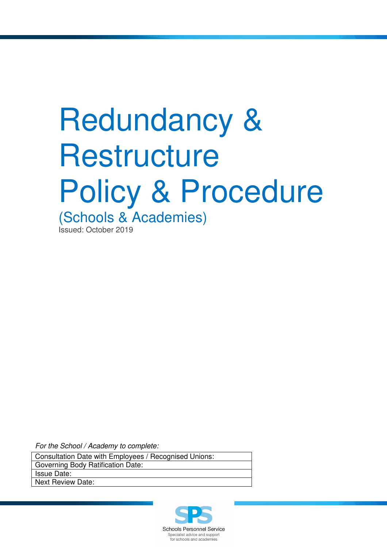# Redundancy & **Restructure** Policy & Procedure

(Schools & Academies)

Issued: October 2019

For the School / Academy to complete:

Consultation Date with Employees / Recognised Unions: Governing Body Ratification Date: Issue Date:

Next Review Date:

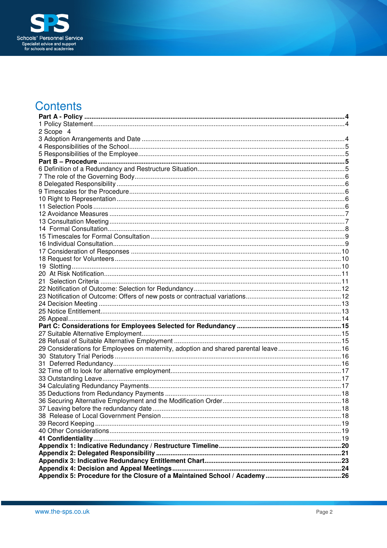

# **Contents**

| 2 Scope 4                                                                          |  |
|------------------------------------------------------------------------------------|--|
|                                                                                    |  |
|                                                                                    |  |
|                                                                                    |  |
|                                                                                    |  |
|                                                                                    |  |
|                                                                                    |  |
|                                                                                    |  |
|                                                                                    |  |
|                                                                                    |  |
|                                                                                    |  |
|                                                                                    |  |
|                                                                                    |  |
|                                                                                    |  |
|                                                                                    |  |
|                                                                                    |  |
|                                                                                    |  |
|                                                                                    |  |
|                                                                                    |  |
|                                                                                    |  |
|                                                                                    |  |
|                                                                                    |  |
|                                                                                    |  |
|                                                                                    |  |
|                                                                                    |  |
|                                                                                    |  |
|                                                                                    |  |
|                                                                                    |  |
|                                                                                    |  |
| 29 Considerations for Employees on maternity, adoption and shared parental leave16 |  |
|                                                                                    |  |
|                                                                                    |  |
|                                                                                    |  |
|                                                                                    |  |
|                                                                                    |  |
|                                                                                    |  |
|                                                                                    |  |
|                                                                                    |  |
|                                                                                    |  |
|                                                                                    |  |
|                                                                                    |  |
|                                                                                    |  |
|                                                                                    |  |
|                                                                                    |  |
|                                                                                    |  |
|                                                                                    |  |
|                                                                                    |  |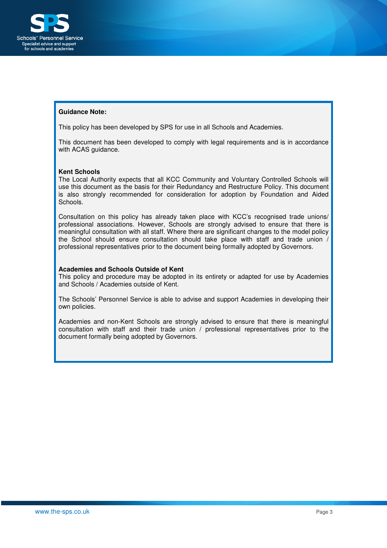

#### **Guidance Note:**

This policy has been developed by SPS for use in all Schools and Academies.

This document has been developed to comply with legal requirements and is in accordance with ACAS guidance.

#### **Kent Schools**

The Local Authority expects that all KCC Community and Voluntary Controlled Schools will use this document as the basis for their Redundancy and Restructure Policy. This document is also strongly recommended for consideration for adoption by Foundation and Aided Schools.

Consultation on this policy has already taken place with KCC's recognised trade unions/ professional associations. However, Schools are strongly advised to ensure that there is meaningful consultation with all staff. Where there are significant changes to the model policy the School should ensure consultation should take place with staff and trade union / professional representatives prior to the document being formally adopted by Governors.

#### **Academies and Schools Outside of Kent**

This policy and procedure may be adopted in its entirety or adapted for use by Academies and Schools / Academies outside of Kent.

The Schools' Personnel Service is able to advise and support Academies in developing their own policies.

Academies and non-Kent Schools are strongly advised to ensure that there is meaningful consultation with staff and their trade union / professional representatives prior to the document formally being adopted by Governors.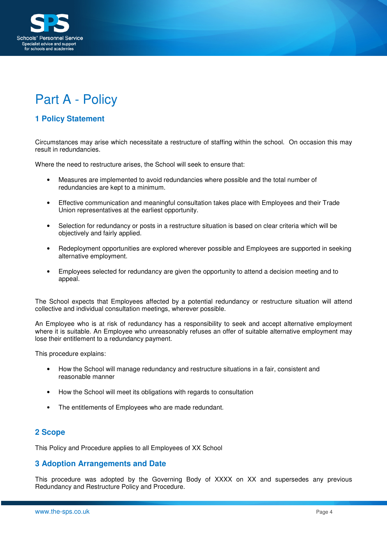

# Part A - Policy

# **1 Policy Statement**

Circumstances may arise which necessitate a restructure of staffing within the school. On occasion this may result in redundancies.

Where the need to restructure arises, the School will seek to ensure that:

- Measures are implemented to avoid redundancies where possible and the total number of redundancies are kept to a minimum.
- Effective communication and meaningful consultation takes place with Employees and their Trade Union representatives at the earliest opportunity.
- Selection for redundancy or posts in a restructure situation is based on clear criteria which will be objectively and fairly applied.
- Redeployment opportunities are explored wherever possible and Employees are supported in seeking alternative employment.
- Employees selected for redundancy are given the opportunity to attend a decision meeting and to appeal.

The School expects that Employees affected by a potential redundancy or restructure situation will attend collective and individual consultation meetings, wherever possible.

An Employee who is at risk of redundancy has a responsibility to seek and accept alternative employment where it is suitable. An Employee who unreasonably refuses an offer of suitable alternative employment may lose their entitlement to a redundancy payment.

This procedure explains:

- How the School will manage redundancy and restructure situations in a fair, consistent and reasonable manner
- How the School will meet its obligations with regards to consultation
- The entitlements of Employees who are made redundant.

## **2 Scope**

This Policy and Procedure applies to all Employees of XX School

#### **3 Adoption Arrangements and Date**

This procedure was adopted by the Governing Body of XXXX on XX and supersedes any previous Redundancy and Restructure Policy and Procedure.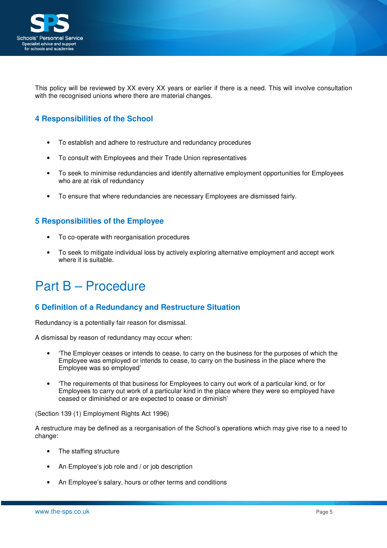

This policy will be reviewed by XX every XX years or earlier if there is a need. This will involve consultation with the recognised unions where there are material changes.

# **4 Responsibilities of the School**

- To establish and adhere to restructure and redundancy procedures
- To consult with Employees and their Trade Union representatives
- To seek to minimise redundancies and identify alternative employment opportunities for Employees who are at risk of redundancy
- To ensure that where redundancies are necessary Employees are dismissed fairly.

# **5 Responsibilities of the Employee**

- To co-operate with reorganisation procedures
- To seek to mitigate individual loss by actively exploring alternative employment and accept work where it is suitable.

# Part B – Procedure

# **6 Definition of a Redundancy and Restructure Situation**

Redundancy is a potentially fair reason for dismissal.

A dismissal by reason of redundancy may occur when:

- 'The Employer ceases or intends to cease, to carry on the business for the purposes of which the Employee was employed or intends to cease, to carry on the business in the place where the Employee was so employed'
- 'The requirements of that business for Employees to carry out work of a particular kind, or for Employees to carry out work of a particular kind in the place where they were so employed have ceased or diminished or are expected to cease or diminish'

(Section 139 (1) Employment Rights Act 1996)

A restructure may be defined as a reorganisation of the School's operations which may give rise to a need to change:

- The staffing structure
- An Employee's job role and / or job description
- An Employee's salary, hours or other terms and conditions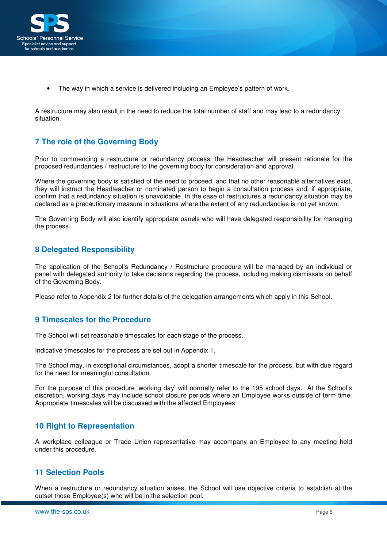

The way in which a service is delivered including an Employee's pattern of work.

A restructure may also result in the need to reduce the total number of staff and may lead to a redundancy situation.

# **7 The role of the Governing Body**

Prior to commencing a restructure or redundancy process, the Headteacher will present rationale for the proposed redundancies / restructure to the governing body for consideration and approval.

Where the governing body is satisfied of the need to proceed, and that no other reasonable alternatives exist, they will instruct the Headteacher or nominated person to begin a consultation process and, if appropriate, confirm that a redundancy situation is unavoidable. In the case of restructures a redundancy situation may be declared as a precautionary measure in situations where the extent of any redundancies is not yet known.

The Governing Body will also identify appropriate panels who will have delegated responsibility for managing the process.

# **8 Delegated Responsibility**

The application of the School's Redundancy / Restructure procedure will be managed by an individual or panel with delegated authority to take decisions regarding the process, including making dismissals on behalf of the Governing Body.

Please refer to Appendix 2 for further details of the delegation arrangements which apply in this School.

## **9 Timescales for the Procedure**

The School will set reasonable timescales for each stage of the process.

Indicative timescales for the process are set out in Appendix 1.

The School may, in exceptional circumstances, adopt a shorter timescale for the process, but with due regard for the need for meaningful consultation.

For the purpose of this procedure 'working day' will normally refer to the 195 school days. At the School's discretion, working days may include school closure periods where an Employee works outside of term time. Appropriate timescales will be discussed with the affected Employees.

## **10 Right to Representation**

A workplace colleague or Trade Union representative may accompany an Employee to any meeting held under this procedure.

## **11 Selection Pools**

When a restructure or redundancy situation arises, the School will use objective criteria to establish at the outset those Employee(s) who will be in the selection pool.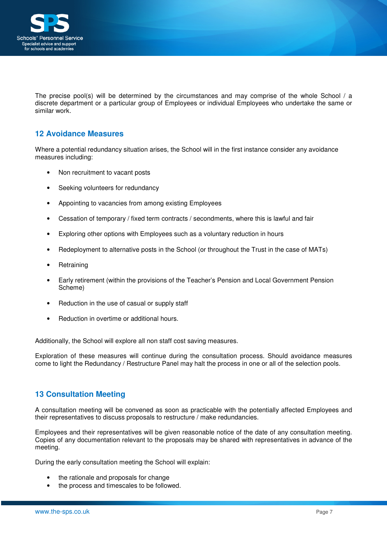

The precise pool(s) will be determined by the circumstances and may comprise of the whole School / a discrete department or a particular group of Employees or individual Employees who undertake the same or similar work.

# **12 Avoidance Measures**

Where a potential redundancy situation arises, the School will in the first instance consider any avoidance measures including:

- Non recruitment to vacant posts
- Seeking volunteers for redundancy
- Appointing to vacancies from among existing Employees
- Cessation of temporary / fixed term contracts / secondments, where this is lawful and fair
- Exploring other options with Employees such as a voluntary reduction in hours
- Redeployment to alternative posts in the School (or throughout the Trust in the case of MATs)
- **Retraining**
- Early retirement (within the provisions of the Teacher's Pension and Local Government Pension Scheme)
- Reduction in the use of casual or supply staff
- Reduction in overtime or additional hours.

Additionally, the School will explore all non staff cost saving measures.

Exploration of these measures will continue during the consultation process. Should avoidance measures come to light the Redundancy / Restructure Panel may halt the process in one or all of the selection pools.

## **13 Consultation Meeting**

A consultation meeting will be convened as soon as practicable with the potentially affected Employees and their representatives to discuss proposals to restructure / make redundancies.

Employees and their representatives will be given reasonable notice of the date of any consultation meeting. Copies of any documentation relevant to the proposals may be shared with representatives in advance of the meeting.

During the early consultation meeting the School will explain:

- the rationale and proposals for change
- the process and timescales to be followed.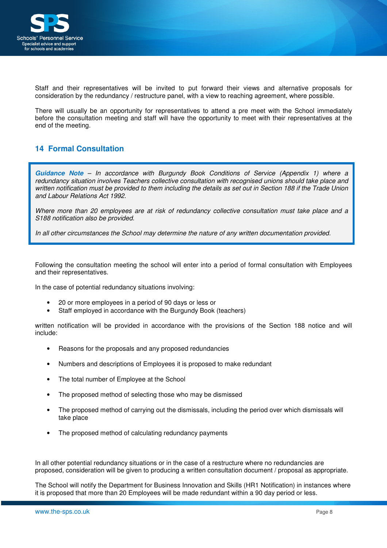

Staff and their representatives will be invited to put forward their views and alternative proposals for consideration by the redundancy / restructure panel, with a view to reaching agreement, where possible.

There will usually be an opportunity for representatives to attend a pre meet with the School immediately before the consultation meeting and staff will have the opportunity to meet with their representatives at the end of the meeting.

# **14 Formal Consultation**

**Guidance Note** – In accordance with Burgundy Book Conditions of Service (Appendix 1) where a redundancy situation involves Teachers collective consultation with recognised unions should take place and written notification must be provided to them including the details as set out in Section 188 if the Trade Union and Labour Relations Act 1992.

Where more than 20 employees are at risk of redundancy collective consultation must take place and a S188 notification also be provided.

In all other circumstances the School may determine the nature of any written documentation provided.

Following the consultation meeting the school will enter into a period of formal consultation with Employees and their representatives.

In the case of potential redundancy situations involving:

- 20 or more employees in a period of 90 days or less or
- Staff employed in accordance with the Burgundy Book (teachers)

written notification will be provided in accordance with the provisions of the Section 188 notice and will include:

- Reasons for the proposals and any proposed redundancies
- Numbers and descriptions of Employees it is proposed to make redundant
- The total number of Employee at the School
- The proposed method of selecting those who may be dismissed
- The proposed method of carrying out the dismissals, including the period over which dismissals will take place
- The proposed method of calculating redundancy payments

In all other potential redundancy situations or in the case of a restructure where no redundancies are proposed, consideration will be given to producing a written consultation document / proposal as appropriate.

The School will notify the Department for Business Innovation and Skills (HR1 Notification) in instances where it is proposed that more than 20 Employees will be made redundant within a 90 day period or less.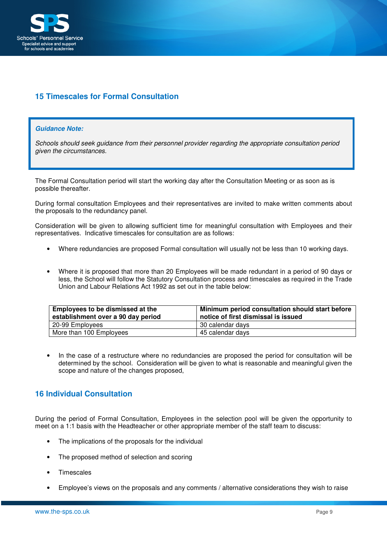

# **15 Timescales for Formal Consultation**

#### **Guidance Note:**

Schools should seek guidance from their personnel provider regarding the appropriate consultation period given the circumstances.

The Formal Consultation period will start the working day after the Consultation Meeting or as soon as is possible thereafter.

During formal consultation Employees and their representatives are invited to make written comments about the proposals to the redundancy panel.

Consideration will be given to allowing sufficient time for meaningful consultation with Employees and their representatives. Indicative timescales for consultation are as follows:

- Where redundancies are proposed Formal consultation will usually not be less than 10 working days.
- Where it is proposed that more than 20 Employees will be made redundant in a period of 90 days or less, the School will follow the Statutory Consultation process and timescales as required in the Trade Union and Labour Relations Act 1992 as set out in the table below:

| Employees to be dismissed at the<br>establishment over a 90 day period | Minimum period consultation should start before<br>notice of first dismissal is issued |  |  |  |  |  |  |  |
|------------------------------------------------------------------------|----------------------------------------------------------------------------------------|--|--|--|--|--|--|--|
| 20-99 Employees                                                        | 30 calendar days                                                                       |  |  |  |  |  |  |  |
| More than 100 Employees                                                | 45 calendar days                                                                       |  |  |  |  |  |  |  |

• In the case of a restructure where no redundancies are proposed the period for consultation will be determined by the school. Consideration will be given to what is reasonable and meaningful given the scope and nature of the changes proposed,

## **16 Individual Consultation**

During the period of Formal Consultation, Employees in the selection pool will be given the opportunity to meet on a 1:1 basis with the Headteacher or other appropriate member of the staff team to discuss:

- The implications of the proposals for the individual
- The proposed method of selection and scoring
- Timescales
- Employee's views on the proposals and any comments / alternative considerations they wish to raise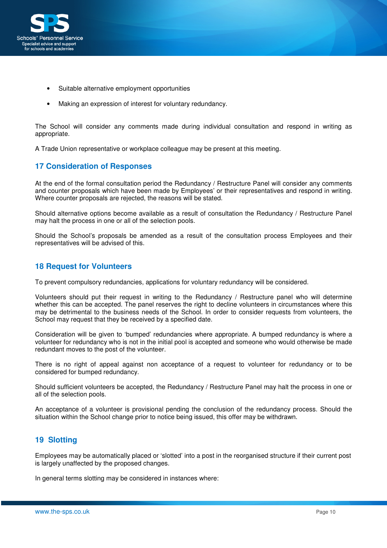

- Suitable alternative employment opportunities
- Making an expression of interest for voluntary redundancy.

The School will consider any comments made during individual consultation and respond in writing as appropriate.

A Trade Union representative or workplace colleague may be present at this meeting.

# **17 Consideration of Responses**

At the end of the formal consultation period the Redundancy / Restructure Panel will consider any comments and counter proposals which have been made by Employees' or their representatives and respond in writing. Where counter proposals are rejected, the reasons will be stated.

Should alternative options become available as a result of consultation the Redundancy / Restructure Panel may halt the process in one or all of the selection pools.

Should the School's proposals be amended as a result of the consultation process Employees and their representatives will be advised of this.

## **18 Request for Volunteers**

To prevent compulsory redundancies, applications for voluntary redundancy will be considered.

Volunteers should put their request in writing to the Redundancy / Restructure panel who will determine whether this can be accepted. The panel reserves the right to decline volunteers in circumstances where this may be detrimental to the business needs of the School. In order to consider requests from volunteers, the School may request that they be received by a specified date.

Consideration will be given to 'bumped' redundancies where appropriate. A bumped redundancy is where a volunteer for redundancy who is not in the initial pool is accepted and someone who would otherwise be made redundant moves to the post of the volunteer.

There is no right of appeal against non acceptance of a request to volunteer for redundancy or to be considered for bumped redundancy.

Should sufficient volunteers be accepted, the Redundancy / Restructure Panel may halt the process in one or all of the selection pools.

An acceptance of a volunteer is provisional pending the conclusion of the redundancy process. Should the situation within the School change prior to notice being issued, this offer may be withdrawn.

# **19 Slotting**

Employees may be automatically placed or 'slotted' into a post in the reorganised structure if their current post is largely unaffected by the proposed changes.

In general terms slotting may be considered in instances where: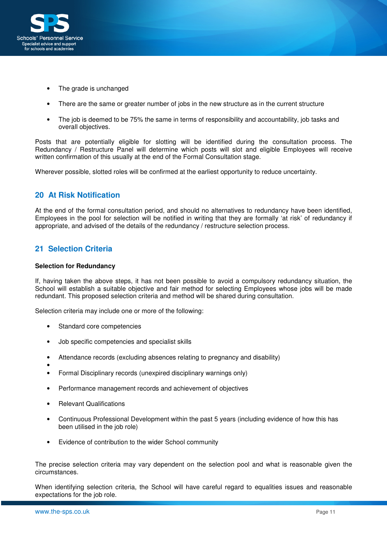

- The grade is unchanged
- There are the same or greater number of jobs in the new structure as in the current structure
- The job is deemed to be 75% the same in terms of responsibility and accountability, job tasks and overall objectives.

Posts that are potentially eligible for slotting will be identified during the consultation process. The Redundancy / Restructure Panel will determine which posts will slot and eligible Employees will receive written confirmation of this usually at the end of the Formal Consultation stage.

Wherever possible, slotted roles will be confirmed at the earliest opportunity to reduce uncertainty.

## **20 At Risk Notification**

At the end of the formal consultation period, and should no alternatives to redundancy have been identified, Employees in the pool for selection will be notified in writing that they are formally 'at risk' of redundancy if appropriate, and advised of the details of the redundancy / restructure selection process.

# **21 Selection Criteria**

#### **Selection for Redundancy**

If, having taken the above steps, it has not been possible to avoid a compulsory redundancy situation, the School will establish a suitable objective and fair method for selecting Employees whose jobs will be made redundant. This proposed selection criteria and method will be shared during consultation.

Selection criteria may include one or more of the following:

- Standard core competencies
- Job specific competencies and specialist skills
- Attendance records (excluding absences relating to pregnancy and disability)
- •
- Formal Disciplinary records (unexpired disciplinary warnings only)
- Performance management records and achievement of objectives
- Relevant Qualifications
- Continuous Professional Development within the past 5 years (including evidence of how this has been utilised in the job role)
- Evidence of contribution to the wider School community

The precise selection criteria may vary dependent on the selection pool and what is reasonable given the circumstances.

When identifying selection criteria, the School will have careful regard to equalities issues and reasonable expectations for the job role.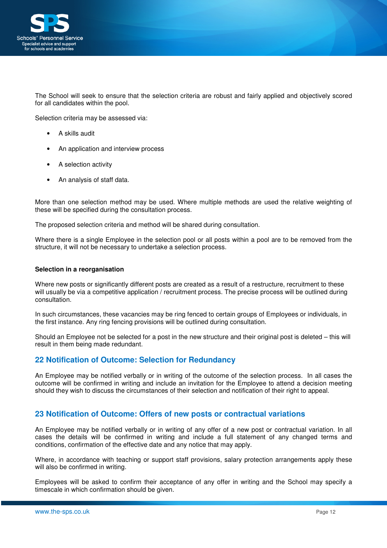

The School will seek to ensure that the selection criteria are robust and fairly applied and objectively scored for all candidates within the pool.

Selection criteria may be assessed via:

- A skills audit
- An application and interview process
- A selection activity
- An analysis of staff data.

More than one selection method may be used. Where multiple methods are used the relative weighting of these will be specified during the consultation process.

The proposed selection criteria and method will be shared during consultation.

Where there is a single Employee in the selection pool or all posts within a pool are to be removed from the structure, it will not be necessary to undertake a selection process.

#### **Selection in a reorganisation**

Where new posts or significantly different posts are created as a result of a restructure, recruitment to these will usually be via a competitive application / recruitment process. The precise process will be outlined during consultation.

In such circumstances, these vacancies may be ring fenced to certain groups of Employees or individuals, in the first instance. Any ring fencing provisions will be outlined during consultation.

Should an Employee not be selected for a post in the new structure and their original post is deleted – this will result in them being made redundant.

## **22 Notification of Outcome: Selection for Redundancy**

An Employee may be notified verbally or in writing of the outcome of the selection process. In all cases the outcome will be confirmed in writing and include an invitation for the Employee to attend a decision meeting should they wish to discuss the circumstances of their selection and notification of their right to appeal.

## **23 Notification of Outcome: Offers of new posts or contractual variations**

An Employee may be notified verbally or in writing of any offer of a new post or contractual variation. In all cases the details will be confirmed in writing and include a full statement of any changed terms and conditions, confirmation of the effective date and any notice that may apply.

Where, in accordance with teaching or support staff provisions, salary protection arrangements apply these will also be confirmed in writing.

Employees will be asked to confirm their acceptance of any offer in writing and the School may specify a timescale in which confirmation should be given.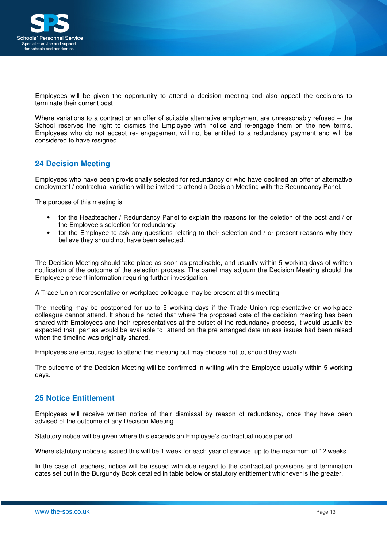

Employees will be given the opportunity to attend a decision meeting and also appeal the decisions to terminate their current post

Where variations to a contract or an offer of suitable alternative employment are unreasonably refused – the School reserves the right to dismiss the Employee with notice and re-engage them on the new terms. Employees who do not accept re- engagement will not be entitled to a redundancy payment and will be considered to have resigned.

# **24 Decision Meeting**

Employees who have been provisionally selected for redundancy or who have declined an offer of alternative employment / contractual variation will be invited to attend a Decision Meeting with the Redundancy Panel.

The purpose of this meeting is

- for the Headteacher / Redundancy Panel to explain the reasons for the deletion of the post and / or the Employee's selection for redundancy
- for the Employee to ask any questions relating to their selection and / or present reasons why they believe they should not have been selected.

The Decision Meeting should take place as soon as practicable, and usually within 5 working days of written notification of the outcome of the selection process. The panel may adjourn the Decision Meeting should the Employee present information requiring further investigation.

A Trade Union representative or workplace colleague may be present at this meeting.

The meeting may be postponed for up to 5 working days if the Trade Union representative or workplace colleague cannot attend. It should be noted that where the proposed date of the decision meeting has been shared with Employees and their representatives at the outset of the redundancy process, it would usually be expected that parties would be available to attend on the pre arranged date unless issues had been raised when the timeline was originally shared.

Employees are encouraged to attend this meeting but may choose not to, should they wish.

The outcome of the Decision Meeting will be confirmed in writing with the Employee usually within 5 working days.

# **25 Notice Entitlement**

Employees will receive written notice of their dismissal by reason of redundancy, once they have been advised of the outcome of any Decision Meeting.

Statutory notice will be given where this exceeds an Employee's contractual notice period.

Where statutory notice is issued this will be 1 week for each year of service, up to the maximum of 12 weeks.

In the case of teachers, notice will be issued with due regard to the contractual provisions and termination dates set out in the Burgundy Book detailed in table below or statutory entitlement whichever is the greater.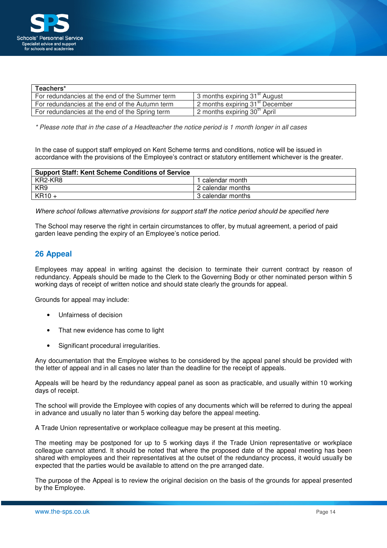

| Teachers*                                      |                                             |
|------------------------------------------------|---------------------------------------------|
| For redundancies at the end of the Summer term | 3 months expiring 31 <sup>st</sup> August   |
| For redundancies at the end of the Autumn term | 2 months expiring 31 <sup>st</sup> December |
| For redundancies at the end of the Spring term | 2 months expiring 30 <sup>th</sup> April    |

\* Please note that in the case of a Headteacher the notice period is 1 month longer in all cases

In the case of support staff employed on Kent Scheme terms and conditions, notice will be issued in accordance with the provisions of the Employee's contract or statutory entitlement whichever is the greater.

| <b>Support Staff: Kent Scheme Conditions of Service</b> |                   |  |  |  |  |  |
|---------------------------------------------------------|-------------------|--|--|--|--|--|
| KR2-KR8                                                 | l calendar month  |  |  |  |  |  |
| KR9                                                     | 2 calendar months |  |  |  |  |  |
| $KR10 +$                                                | 3 calendar months |  |  |  |  |  |

Where school follows alternative provisions for support staff the notice period should be specified here

The School may reserve the right in certain circumstances to offer, by mutual agreement, a period of paid garden leave pending the expiry of an Employee's notice period.

# **26 Appeal**

Employees may appeal in writing against the decision to terminate their current contract by reason of redundancy. Appeals should be made to the Clerk to the Governing Body or other nominated person within 5 working days of receipt of written notice and should state clearly the grounds for appeal.

Grounds for appeal may include:

- Unfairness of decision
- That new evidence has come to light
- Significant procedural irregularities.

Any documentation that the Employee wishes to be considered by the appeal panel should be provided with the letter of appeal and in all cases no later than the deadline for the receipt of appeals.

Appeals will be heard by the redundancy appeal panel as soon as practicable, and usually within 10 working days of receipt.

The school will provide the Employee with copies of any documents which will be referred to during the appeal in advance and usually no later than 5 working day before the appeal meeting.

A Trade Union representative or workplace colleague may be present at this meeting.

The meeting may be postponed for up to 5 working days if the Trade Union representative or workplace colleague cannot attend. It should be noted that where the proposed date of the appeal meeting has been shared with employees and their representatives at the outset of the redundancy process, it would usually be expected that the parties would be available to attend on the pre arranged date.

The purpose of the Appeal is to review the original decision on the basis of the grounds for appeal presented by the Employee.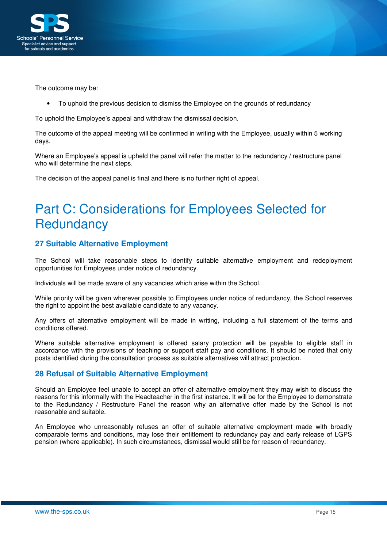

The outcome may be:

• To uphold the previous decision to dismiss the Employee on the grounds of redundancy

To uphold the Employee's appeal and withdraw the dismissal decision.

The outcome of the appeal meeting will be confirmed in writing with the Employee, usually within 5 working days.

Where an Employee's appeal is upheld the panel will refer the matter to the redundancy / restructure panel who will determine the next steps.

The decision of the appeal panel is final and there is no further right of appeal.

# Part C: Considerations for Employees Selected for **Redundancy**

# **27 Suitable Alternative Employment**

The School will take reasonable steps to identify suitable alternative employment and redeployment opportunities for Employees under notice of redundancy.

Individuals will be made aware of any vacancies which arise within the School.

While priority will be given wherever possible to Employees under notice of redundancy, the School reserves the right to appoint the best available candidate to any vacancy.

Any offers of alternative employment will be made in writing, including a full statement of the terms and conditions offered.

Where suitable alternative employment is offered salary protection will be payable to eligible staff in accordance with the provisions of teaching or support staff pay and conditions. It should be noted that only posts identified during the consultation process as suitable alternatives will attract protection.

# **28 Refusal of Suitable Alternative Employment**

Should an Employee feel unable to accept an offer of alternative employment they may wish to discuss the reasons for this informally with the Headteacher in the first instance. It will be for the Employee to demonstrate to the Redundancy / Restructure Panel the reason why an alternative offer made by the School is not reasonable and suitable.

An Employee who unreasonably refuses an offer of suitable alternative employment made with broadly comparable terms and conditions, may lose their entitlement to redundancy pay and early release of LGPS pension (where applicable). In such circumstances, dismissal would still be for reason of redundancy.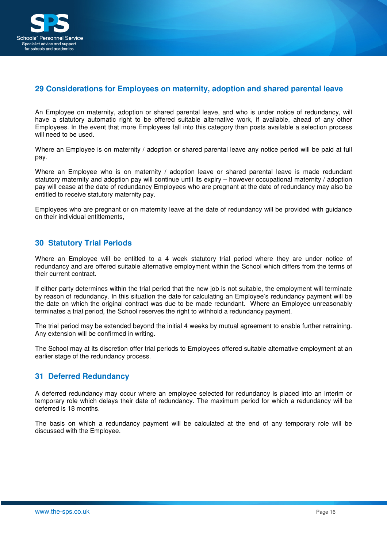

# **29 Considerations for Employees on maternity, adoption and shared parental leave**

An Employee on maternity, adoption or shared parental leave, and who is under notice of redundancy, will have a statutory automatic right to be offered suitable alternative work, if available, ahead of any other Employees. In the event that more Employees fall into this category than posts available a selection process will need to be used.

Where an Employee is on maternity / adoption or shared parental leave any notice period will be paid at full pay.

Where an Employee who is on maternity / adoption leave or shared parental leave is made redundant statutory maternity and adoption pay will continue until its expiry – however occupational maternity / adoption pay will cease at the date of redundancy Employees who are pregnant at the date of redundancy may also be entitled to receive statutory maternity pay.

Employees who are pregnant or on maternity leave at the date of redundancy will be provided with guidance on their individual entitlements,

## **30 Statutory Trial Periods**

Where an Employee will be entitled to a 4 week statutory trial period where they are under notice of redundancy and are offered suitable alternative employment within the School which differs from the terms of their current contract.

If either party determines within the trial period that the new job is not suitable, the employment will terminate by reason of redundancy. In this situation the date for calculating an Employee's redundancy payment will be the date on which the original contract was due to be made redundant. Where an Employee unreasonably terminates a trial period, the School reserves the right to withhold a redundancy payment.

The trial period may be extended beyond the initial 4 weeks by mutual agreement to enable further retraining. Any extension will be confirmed in writing.

The School may at its discretion offer trial periods to Employees offered suitable alternative employment at an earlier stage of the redundancy process.

## **31 Deferred Redundancy**

A deferred redundancy may occur where an employee selected for redundancy is placed into an interim or temporary role which delays their date of redundancy. The maximum period for which a redundancy will be deferred is 18 months.

The basis on which a redundancy payment will be calculated at the end of any temporary role will be discussed with the Employee.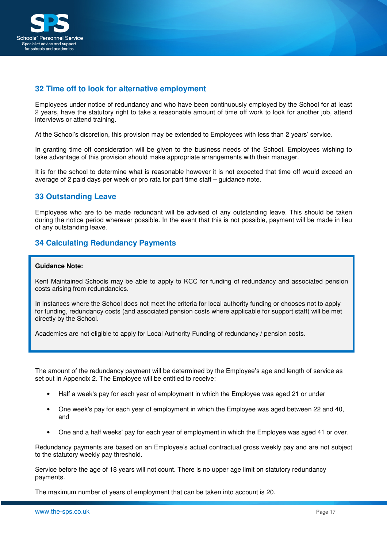

# **32 Time off to look for alternative employment**

Employees under notice of redundancy and who have been continuously employed by the School for at least 2 years, have the statutory right to take a reasonable amount of time off work to look for another job, attend interviews or attend training.

At the School's discretion, this provision may be extended to Employees with less than 2 years' service.

In granting time off consideration will be given to the business needs of the School. Employees wishing to take advantage of this provision should make appropriate arrangements with their manager.

It is for the school to determine what is reasonable however it is not expected that time off would exceed an average of 2 paid days per week or pro rata for part time staff – guidance note.

# **33 Outstanding Leave**

Employees who are to be made redundant will be advised of any outstanding leave. This should be taken during the notice period wherever possible. In the event that this is not possible, payment will be made in lieu of any outstanding leave.

# **34 Calculating Redundancy Payments**

#### **Guidance Note:**

Kent Maintained Schools may be able to apply to KCC for funding of redundancy and associated pension costs arising from redundancies.

In instances where the School does not meet the criteria for local authority funding or chooses not to apply for funding, redundancy costs (and associated pension costs where applicable for support staff) will be met directly by the School.

Academies are not eligible to apply for Local Authority Funding of redundancy / pension costs.

The amount of the redundancy payment will be determined by the Employee's age and length of service as set out in Appendix 2. The Employee will be entitled to receive:

- Half a week's pay for each year of employment in which the Employee was aged 21 or under
- One week's pay for each year of employment in which the Employee was aged between 22 and 40, and
- One and a half weeks' pay for each year of employment in which the Employee was aged 41 or over.

Redundancy payments are based on an Employee's actual contractual gross weekly pay and are not subject to the statutory weekly pay threshold.

Service before the age of 18 years will not count. There is no upper age limit on statutory redundancy payments.

The maximum number of years of employment that can be taken into account is 20.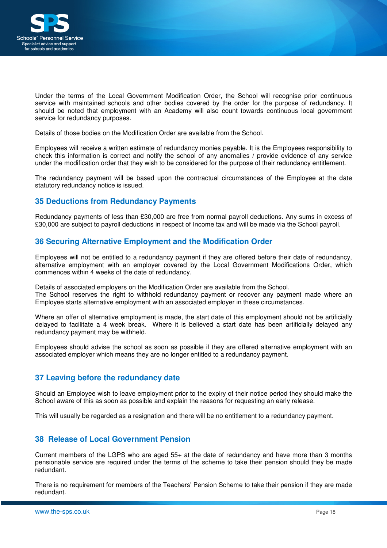

Under the terms of the Local Government Modification Order, the School will recognise prior continuous service with maintained schools and other bodies covered by the order for the purpose of redundancy. It should be noted that employment with an Academy will also count towards continuous local government service for redundancy purposes.

Details of those bodies on the Modification Order are available from the School.

Employees will receive a written estimate of redundancy monies payable. It is the Employees responsibility to check this information is correct and notify the school of any anomalies / provide evidence of any service under the modification order that they wish to be considered for the purpose of their redundancy entitlement.

The redundancy payment will be based upon the contractual circumstances of the Employee at the date statutory redundancy notice is issued.

# **35 Deductions from Redundancy Payments**

Redundancy payments of less than £30,000 are free from normal payroll deductions. Any sums in excess of £30,000 are subject to payroll deductions in respect of Income tax and will be made via the School payroll.

## **36 Securing Alternative Employment and the Modification Order**

Employees will not be entitled to a redundancy payment if they are offered before their date of redundancy, alternative employment with an employer covered by the Local Government Modifications Order, which commences within 4 weeks of the date of redundancy.

Details of associated employers on the Modification Order are available from the School. The School reserves the right to withhold redundancy payment or recover any payment made where an Employee starts alternative employment with an associated employer in these circumstances.

Where an offer of alternative employment is made, the start date of this employment should not be artificially delayed to facilitate a 4 week break. Where it is believed a start date has been artificially delayed any redundancy payment may be withheld.

Employees should advise the school as soon as possible if they are offered alternative employment with an associated employer which means they are no longer entitled to a redundancy payment.

## **37 Leaving before the redundancy date**

Should an Employee wish to leave employment prior to the expiry of their notice period they should make the School aware of this as soon as possible and explain the reasons for requesting an early release.

This will usually be regarded as a resignation and there will be no entitlement to a redundancy payment.

# **38 Release of Local Government Pension**

Current members of the LGPS who are aged 55+ at the date of redundancy and have more than 3 months pensionable service are required under the terms of the scheme to take their pension should they be made redundant.

There is no requirement for members of the Teachers' Pension Scheme to take their pension if they are made redundant.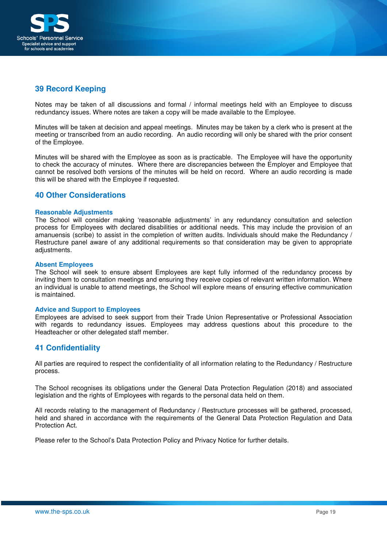

# **39 Record Keeping**

Notes may be taken of all discussions and formal / informal meetings held with an Employee to discuss redundancy issues. Where notes are taken a copy will be made available to the Employee.

Minutes will be taken at decision and appeal meetings. Minutes may be taken by a clerk who is present at the meeting or transcribed from an audio recording. An audio recording will only be shared with the prior consent of the Employee.

Minutes will be shared with the Employee as soon as is practicable. The Employee will have the opportunity to check the accuracy of minutes. Where there are discrepancies between the Employer and Employee that cannot be resolved both versions of the minutes will be held on record. Where an audio recording is made this will be shared with the Employee if requested.

## **40 Other Considerations**

#### **Reasonable Adjustments**

The School will consider making 'reasonable adjustments' in any redundancy consultation and selection process for Employees with declared disabilities or additional needs. This may include the provision of an amanuensis (scribe) to assist in the completion of written audits. Individuals should make the Redundancy / Restructure panel aware of any additional requirements so that consideration may be given to appropriate adjustments.

#### **Absent Employees**

The School will seek to ensure absent Employees are kept fully informed of the redundancy process by inviting them to consultation meetings and ensuring they receive copies of relevant written information. Where an individual is unable to attend meetings, the School will explore means of ensuring effective communication is maintained.

#### **Advice and Support to Employees**

Employees are advised to seek support from their Trade Union Representative or Professional Association with regards to redundancy issues. Employees may address questions about this procedure to the Headteacher or other delegated staff member.

## **41 Confidentiality**

All parties are required to respect the confidentiality of all information relating to the Redundancy / Restructure process.

The School recognises its obligations under the General Data Protection Regulation (2018) and associated legislation and the rights of Employees with regards to the personal data held on them.

All records relating to the management of Redundancy / Restructure processes will be gathered, processed, held and shared in accordance with the requirements of the General Data Protection Regulation and Data Protection Act.

Please refer to the School's Data Protection Policy and Privacy Notice for further details.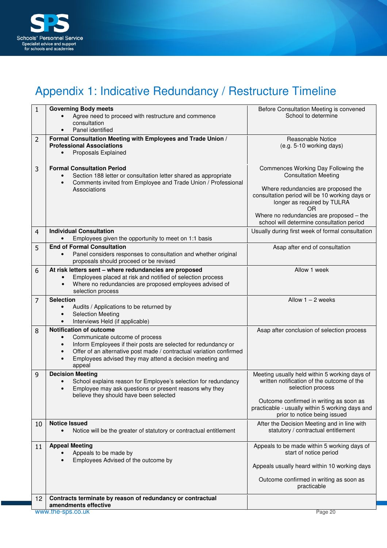

# Appendix 1: Indicative Redundancy / Restructure Timeline

| $\mathbf{1}$ | <b>Governing Body meets</b><br>Agree need to proceed with restructure and commence<br>consultation<br>Panel identified                                                                                                                                                                                    | Before Consultation Meeting is convened<br>School to determine                                                                                                                                                                                                                            |  |  |  |  |  |  |
|--------------|-----------------------------------------------------------------------------------------------------------------------------------------------------------------------------------------------------------------------------------------------------------------------------------------------------------|-------------------------------------------------------------------------------------------------------------------------------------------------------------------------------------------------------------------------------------------------------------------------------------------|--|--|--|--|--|--|
| 2            | Formal Consultation Meeting with Employees and Trade Union /<br><b>Professional Associations</b><br><b>Proposals Explained</b>                                                                                                                                                                            | Reasonable Notice<br>(e.g. 5-10 working days)                                                                                                                                                                                                                                             |  |  |  |  |  |  |
| 3            | <b>Formal Consultation Period</b><br>Section 188 letter or consultation letter shared as appropriate<br>Comments invited from Employee and Trade Union / Professional<br>$\bullet$<br>Associations                                                                                                        | Commences Working Day Following the<br><b>Consultation Meeting</b><br>Where redundancies are proposed the<br>consultation period will be 10 working days or<br>longer as required by TULRA<br>ΟR<br>Where no redundancies are proposed - the<br>school will determine consultation period |  |  |  |  |  |  |
| 4            | <b>Individual Consultation</b><br>Employees given the opportunity to meet on 1:1 basis                                                                                                                                                                                                                    | Usually during first week of formal consultation                                                                                                                                                                                                                                          |  |  |  |  |  |  |
| 5            | <b>End of Formal Consultation</b><br>Panel considers responses to consultation and whether original<br>proposals should proceed or be revised                                                                                                                                                             | Asap after end of consultation                                                                                                                                                                                                                                                            |  |  |  |  |  |  |
| 6            | At risk letters sent - where redundancies are proposed<br>Employees placed at risk and notified of selection process<br>Where no redundancies are proposed employees advised of<br>$\bullet$<br>selection process                                                                                         | Allow 1 week                                                                                                                                                                                                                                                                              |  |  |  |  |  |  |
| 7            | <b>Selection</b><br>Audits / Applications to be returned by<br><b>Selection Meeting</b><br>Interviews Held (if applicable)                                                                                                                                                                                | Allow $1 - 2$ weeks                                                                                                                                                                                                                                                                       |  |  |  |  |  |  |
| 8            | <b>Notification of outcome</b><br>Communicate outcome of process<br>Inform Employees if their posts are selected for redundancy or<br>Offer of an alternative post made / contractual variation confirmed<br>$\bullet$<br>Employees advised they may attend a decision meeting and<br>$\bullet$<br>appeal | Asap after conclusion of selection process                                                                                                                                                                                                                                                |  |  |  |  |  |  |
| 9            | <b>Decision Meeting</b><br>School explains reason for Employee's selection for redundancy<br>Employee may ask questions or present reasons why they<br>$\bullet$<br>believe they should have been selected                                                                                                | Meeting usually held within 5 working days of<br>written notification of the outcome of the<br>selection process                                                                                                                                                                          |  |  |  |  |  |  |
|              |                                                                                                                                                                                                                                                                                                           | Outcome confirmed in writing as soon as<br>practicable - usually within 5 working days and<br>prior to notice being issued                                                                                                                                                                |  |  |  |  |  |  |
| 10           | <b>Notice Issued</b><br>Notice will be the greater of statutory or contractual entitlement                                                                                                                                                                                                                | After the Decision Meeting and in line with<br>statutory / contractual entitlement                                                                                                                                                                                                        |  |  |  |  |  |  |
| 11           | <b>Appeal Meeting</b><br>Appeals to be made by<br>Employees Advised of the outcome by                                                                                                                                                                                                                     | Appeals to be made within 5 working days of<br>start of notice period<br>Appeals usually heard within 10 working days<br>Outcome confirmed in writing as soon as                                                                                                                          |  |  |  |  |  |  |
| 12           | Contracts terminate by reason of redundancy or contractual<br>amendments effective                                                                                                                                                                                                                        | practicable                                                                                                                                                                                                                                                                               |  |  |  |  |  |  |
|              | www.the-sps.co.uk                                                                                                                                                                                                                                                                                         | Page 20                                                                                                                                                                                                                                                                                   |  |  |  |  |  |  |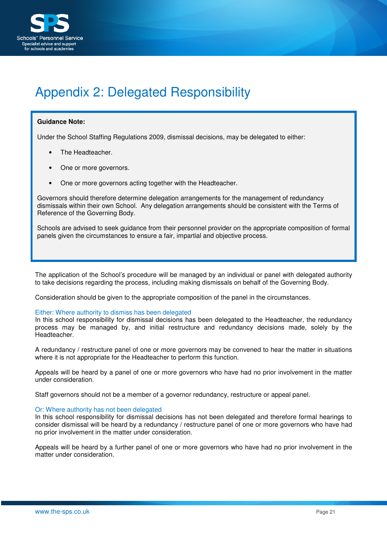

# Appendix 2: Delegated Responsibility

#### **Guidance Note:**

Under the School Staffing Regulations 2009, dismissal decisions, may be delegated to either:

- The Headteacher.
- One or more governors.
- One or more governors acting together with the Headteacher.

Governors should therefore determine delegation arrangements for the management of redundancy dismissals within their own School. Any delegation arrangements should be consistent with the Terms of Reference of the Governing Body.

Schools are advised to seek guidance from their personnel provider on the appropriate composition of formal panels given the circumstances to ensure a fair, impartial and objective process.

The application of the School's procedure will be managed by an individual or panel with delegated authority to take decisions regarding the process, including making dismissals on behalf of the Governing Body.

Consideration should be given to the appropriate composition of the panel in the circumstances.

#### Either: Where authority to dismiss has been delegated

In this school responsibility for dismissal decisions has been delegated to the Headteacher, the redundancy process may be managed by, and initial restructure and redundancy decisions made, solely by the Headteacher.

A redundancy / restructure panel of one or more governors may be convened to hear the matter in situations where it is not appropriate for the Headteacher to perform this function.

Appeals will be heard by a panel of one or more governors who have had no prior involvement in the matter under consideration.

Staff governors should not be a member of a governor redundancy, restructure or appeal panel.

#### Or: Where authority has not been delegated

In this school responsibility for dismissal decisions has not been delegated and therefore formal hearings to consider dismissal will be heard by a redundancy / restructure panel of one or more governors who have had no prior involvement in the matter under consideration.

Appeals will be heard by a further panel of one or more governors who have had no prior involvement in the matter under consideration.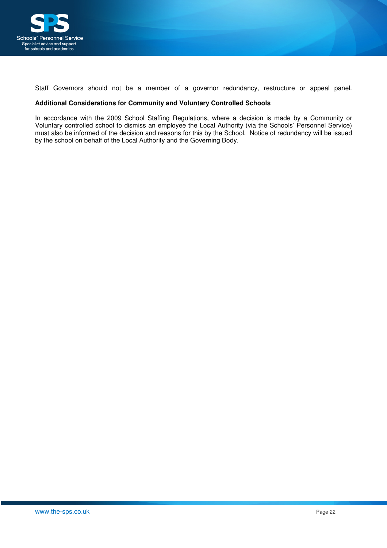

Staff Governors should not be a member of a governor redundancy, restructure or appeal panel.

#### **Additional Considerations for Community and Voluntary Controlled Schools**

In accordance with the 2009 School Staffing Regulations, where a decision is made by a Community or Voluntary controlled school to dismiss an employee the Local Authority (via the Schools' Personnel Service) must also be informed of the decision and reasons for this by the School. Notice of redundancy will be issued by the school on behalf of the Local Authority and the Governing Body.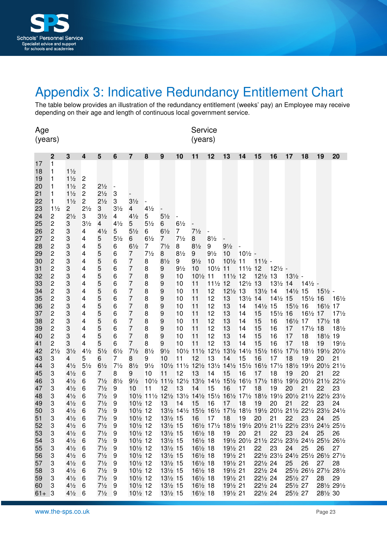

# Appendix 3: Indicative Redundancy Entitlement Chart

The table below provides an illustration of the redundancy entitlement (weeks' pay) an Employee may receive depending on their age and length of continuous local government service.

| Age<br>(years)                                                                                                                                                                                                       |                                                                                                                                                                                                                                                                                                                                                                                                                                                                                                                             |                                                                                                                                                                                                                                                                                                                                                                                                                                                                                                               |                                                                                                                                                                                                                                                                                                         |                                                                                                                                                                                                                                                                                                                                                                |                                                                                                                                                                                                                                                          |                                                                                                                                                                                                                                                                                                                                                                                                                                                                    |                                                                                                                                                                                                           | Service<br>(years)                                                                                                                                                                                                                                                                                                                                                                        |                                                                                                                                                                               |                                                                                                                                                                                       |                                                                                                                                                   |                                                                                                                                        |                                                                                                                               |                                                                                                                         |                                                                                                                   |                                                                                                                                                                                                                                                                                                                                                                                                       |                                                                                           |                                                                                                 |                                                                                                              |
|----------------------------------------------------------------------------------------------------------------------------------------------------------------------------------------------------------------------|-----------------------------------------------------------------------------------------------------------------------------------------------------------------------------------------------------------------------------------------------------------------------------------------------------------------------------------------------------------------------------------------------------------------------------------------------------------------------------------------------------------------------------|---------------------------------------------------------------------------------------------------------------------------------------------------------------------------------------------------------------------------------------------------------------------------------------------------------------------------------------------------------------------------------------------------------------------------------------------------------------------------------------------------------------|---------------------------------------------------------------------------------------------------------------------------------------------------------------------------------------------------------------------------------------------------------------------------------------------------------|----------------------------------------------------------------------------------------------------------------------------------------------------------------------------------------------------------------------------------------------------------------------------------------------------------------------------------------------------------------|----------------------------------------------------------------------------------------------------------------------------------------------------------------------------------------------------------------------------------------------------------|--------------------------------------------------------------------------------------------------------------------------------------------------------------------------------------------------------------------------------------------------------------------------------------------------------------------------------------------------------------------------------------------------------------------------------------------------------------------|-----------------------------------------------------------------------------------------------------------------------------------------------------------------------------------------------------------|-------------------------------------------------------------------------------------------------------------------------------------------------------------------------------------------------------------------------------------------------------------------------------------------------------------------------------------------------------------------------------------------|-------------------------------------------------------------------------------------------------------------------------------------------------------------------------------|---------------------------------------------------------------------------------------------------------------------------------------------------------------------------------------|---------------------------------------------------------------------------------------------------------------------------------------------------|----------------------------------------------------------------------------------------------------------------------------------------|-------------------------------------------------------------------------------------------------------------------------------|-------------------------------------------------------------------------------------------------------------------------|-------------------------------------------------------------------------------------------------------------------|-------------------------------------------------------------------------------------------------------------------------------------------------------------------------------------------------------------------------------------------------------------------------------------------------------------------------------------------------------------------------------------------------------|-------------------------------------------------------------------------------------------|-------------------------------------------------------------------------------------------------|--------------------------------------------------------------------------------------------------------------|
|                                                                                                                                                                                                                      |                                                                                                                                                                                                                                                                                                                                                                                                                                                                                                                             |                                                                                                                                                                                                                                                                                                                                                                                                                                                                                                               | 4                                                                                                                                                                                                                                                                                                       |                                                                                                                                                                                                                                                                                                                                                                |                                                                                                                                                                                                                                                          |                                                                                                                                                                                                                                                                                                                                                                                                                                                                    |                                                                                                                                                                                                           |                                                                                                                                                                                                                                                                                                                                                                                           |                                                                                                                                                                               |                                                                                                                                                                                       |                                                                                                                                                   |                                                                                                                                        |                                                                                                                               |                                                                                                                         |                                                                                                                   |                                                                                                                                                                                                                                                                                                                                                                                                       |                                                                                           |                                                                                                 |                                                                                                              |
| 17<br>18<br>19<br>20<br>21<br>22<br>23<br>24<br>25<br>26<br>27<br>28<br>29<br>30<br>31<br>32<br>33<br>34<br>35<br>36<br>37<br>38<br>39<br>40<br>41<br>42<br>43<br>44<br>45<br>46<br>47<br>48<br>49<br>50<br>51<br>52 | 2<br>1<br>1<br>1<br>1<br>1<br>1<br>$1\frac{1}{2}$<br>2<br>2<br>$\overline{\mathbf{c}}$<br>$\overline{\mathbf{c}}$<br>$\overline{c}$<br>$\overline{\mathbf{c}}$<br>$\overline{\mathbf{c}}$<br>$\boldsymbol{2}$<br>$\overline{\mathbf{c}}$<br>$\overline{\mathbf{c}}$<br>$\overline{\mathbf{c}}$<br>$\overline{\mathbf{c}}$<br>$\overline{\mathbf{c}}$<br>$\overline{\mathbf{c}}$<br>$\overline{c}$<br>$\overline{c}$<br>$\overline{c}$<br>$\overline{c}$<br>$2\frac{1}{2}$<br>3<br>3<br>3<br>3<br>3<br>3<br>3<br>3<br>3<br>3 | 3<br>$1\frac{1}{2}$<br>$1\frac{1}{2}$<br>$1\frac{1}{2}$<br>$1\frac{1}{2}$<br>$1\frac{1}{2}$<br>$\overline{c}$<br>$2\frac{1}{2}$<br>3<br>3<br>3<br>$\ensuremath{\mathsf{3}}$<br>$\ensuremath{\mathsf{3}}$<br>3<br>3<br>3<br>3<br>3<br>3<br>3<br>3<br>3<br>3<br>$\ensuremath{\mathsf{3}}$<br>$\ensuremath{\mathsf{3}}$<br>$3\frac{1}{2}$<br>4<br>$4\frac{1}{2}$<br>$4\frac{1}{2}$<br>$4\frac{1}{2}$<br>$4\frac{1}{2}$<br>$4\frac{1}{2}$<br>$4\frac{1}{2}$<br>$4\frac{1}{2}$<br>$4\frac{1}{2}$<br>$4\frac{1}{2}$ | $\overline{c}$<br>$\mathbf 2$<br>$\overline{c}$<br>$\overline{c}$<br>$2\frac{1}{2}$<br>3<br>$3\frac{1}{2}$<br>4<br>4<br>4<br>4<br>4<br>4<br>4<br>4<br>4<br>4<br>4<br>4<br>4<br>4<br>4<br>4<br>$4\frac{1}{2}$<br>5<br>$5\frac{1}{2}$<br>6<br>6<br>6<br>6<br>$6\phantom{1}6$<br>6<br>$6\phantom{1}6$<br>6 | 5<br>$2\frac{1}{2}$<br>$2\frac{1}{2}$<br>$2\frac{1}{2}$<br>3<br>$3\frac{1}{2}$<br>4<br>$4\frac{1}{2}$<br>5<br>5<br>5<br>5<br>5<br>5<br>5<br>5<br>5<br>5<br>5<br>5<br>5<br>5<br>5<br>$5\frac{1}{2}$<br>6<br>$6\frac{1}{2}$<br>7<br>$7\frac{1}{2}$<br>$7\frac{1}{2}$<br>$7\frac{1}{2}$<br>$7\frac{1}{2}$<br>$7\frac{1}{2}$<br>$7\frac{1}{2}$ 9<br>$7\frac{1}{2}$ | 6<br>3<br>3<br>$3\frac{1}{2}$<br>$\overline{4}$<br>$4\frac{1}{2}$<br>5<br>$5\frac{1}{2}$<br>6<br>6<br>6<br>6<br>6<br>6<br>6<br>6<br>6<br>6<br>6<br>6<br>6<br>6<br>$6\frac{1}{2}$<br>7<br>$7\frac{1}{2}$<br>8<br>$8\frac{1}{2}$<br>9<br>9<br>9<br>9<br>-9 | 7<br>$3\frac{1}{2}$<br>4<br>$4\frac{1}{2}$<br>5<br>$5\frac{1}{2}$<br>6<br>$6\frac{1}{2}$<br>$\overline{7}$<br>$\overline{7}$<br>$\overline{7}$<br>$\overline{7}$<br>$\overline{7}$<br>$\overline{7}$<br>$\overline{7}$<br>$\overline{7}$<br>$\overline{7}$<br>$\overline{7}$<br>$\overline{7}$<br>$\overline{7}$<br>$\overline{7}$<br>$7\frac{1}{2}$<br>8<br>$8\frac{1}{2}$<br>9<br>$9\frac{1}{2}$<br>10<br>101/2 12<br>101/2 12<br>101/2 12<br>$10\frac{1}{2}$ 12 | 8<br>$4\frac{1}{2}$<br>5<br>$5\frac{1}{2}$<br>6<br>$6\frac{1}{2}$<br>7<br>$7\frac{1}{2}$<br>8<br>8<br>8<br>8<br>8<br>8<br>8<br>8<br>8<br>8<br>8<br>8<br>$8\frac{1}{2}$<br>9<br>$9\frac{1}{2}$<br>10<br>11 | 9<br>$5\frac{1}{2}$<br>6<br>$6\frac{1}{2}$<br>7<br>$7\frac{1}{2}$<br>8<br>$8\frac{1}{2}$<br>9<br>9<br>9<br>9<br>9<br>9<br>9<br>9<br>9<br>9<br>9<br>$9\frac{1}{2}$<br>10<br>11<br>101/2 111/2 121/2 131/2 141/2 151/2 161/2 171/2 181/2 191/2 201/2 211/2 221/2<br>12<br>101/2 111/2 121/2 131/2 141/2 151/2 161/2 171/2 181/2 191/2 201/2 211/2 221/2 231/2<br>13<br>131/2 15<br>131/2 15 | 10<br>$6\frac{1}{2}$<br>7<br>$7\frac{1}{2}$<br>8<br>$8\frac{1}{2}$<br>9<br>$9\frac{1}{2}$<br>10<br>10<br>10<br>10<br>10<br>10<br>10<br>10<br>10<br>10<br>11<br>12<br>13<br>14 | 11<br>$7\frac{1}{2}$<br>8<br>$8\frac{1}{2}$<br>9<br>$9\frac{1}{2}$<br>10<br>$10\frac{1}{2}$ 11<br>11<br>11<br>11<br>11<br>11<br>11<br>11<br>11<br>11<br>12<br>13<br>14<br>15<br>16 17 | 12<br>$8\frac{1}{2}$<br>9<br>$9\frac{1}{2}$<br>10<br>101/2 11<br>111/2 12<br>12<br>12<br>12<br>12<br>12<br>12<br>12<br>12<br>13<br>14<br>15<br>16 | 13<br>$9\frac{1}{2}$<br>10<br>101/2 11<br>111/2 12<br>121/2 13<br>13<br>13<br>13<br>13<br>13<br>13<br>13<br>14<br>15<br>16<br>17<br>18 | 14<br>$10\frac{1}{2}$ -<br>111/2 12<br>121/2 13<br>131/2 14<br>14<br>14<br>14<br>14<br>14<br>14<br>15<br>16<br>17<br>18<br>19 | 15<br>$11\frac{1}{2}$ -<br>121/2 13<br>131/2 14<br>141/2 15<br>15<br>15<br>15<br>15<br>15<br>16<br>17<br>18<br>19<br>20 | 16<br>$12\frac{1}{2}$ -<br>131/2 14<br>141/2 15<br>151/2 16<br>16<br>16<br>16<br>16<br>17<br>18<br>19<br>20<br>21 | 17<br>$13\frac{1}{2}$ -<br>141/2 15<br>151/2 16<br>161/2 17<br>17<br>17<br>17<br>101/2 111/2 121/2 131/2 141/2 151/2 161/2 171/2 181/2 191/2 201/2<br>18<br>101/2 111/2 121/2 131/2 141/2 151/2 161/2 171/2 181/2 191/2 201/2 211/2<br>19<br>20<br>21<br>131/2 141/2 151/2 161/2 171/2 181/2 191/2 201/2 211/2 221/2 231/2 241/2<br>22<br>161/2 171/2 181/2 191/2 201/2 211/2 221/2 231/2 241/2 251/2 | 18<br>14½ -<br>151/2 16<br>161/2 17<br>171/2 18<br>18<br>18<br>19<br>20<br>21<br>22<br>23 | 19<br>$15\frac{1}{2}$ -<br>161/2 17<br>171/2 18<br>181/2 19<br>19<br>20<br>21<br>22<br>23<br>24 | 20<br>$16\frac{1}{2}$<br>$17\frac{1}{2}$<br>$18\frac{1}{2}$<br>$19\frac{1}{2}$<br>21<br>22<br>23<br>24<br>25 |
| 53                                                                                                                                                                                                                   | 3                                                                                                                                                                                                                                                                                                                                                                                                                                                                                                                           | $4\frac{1}{2}$                                                                                                                                                                                                                                                                                                                                                                                                                                                                                                | $6\,$                                                                                                                                                                                                                                                                                                   | $7\frac{1}{2}$                                                                                                                                                                                                                                                                                                                                                 | -9                                                                                                                                                                                                                                                       | 101/2 12                                                                                                                                                                                                                                                                                                                                                                                                                                                           |                                                                                                                                                                                                           | 131/2 15                                                                                                                                                                                                                                                                                                                                                                                  |                                                                                                                                                                               | 161/2 18                                                                                                                                                                              |                                                                                                                                                   | 19                                                                                                                                     | 20                                                                                                                            | 21                                                                                                                      | 22                                                                                                                | 23                                                                                                                                                                                                                                                                                                                                                                                                    | 24                                                                                        | 25                                                                                              | 26                                                                                                           |
| 54                                                                                                                                                                                                                   | 3                                                                                                                                                                                                                                                                                                                                                                                                                                                                                                                           | $4\frac{1}{2}$                                                                                                                                                                                                                                                                                                                                                                                                                                                                                                | 6                                                                                                                                                                                                                                                                                                       | $7\frac{1}{2}$                                                                                                                                                                                                                                                                                                                                                 | -9                                                                                                                                                                                                                                                       | 101/2 12                                                                                                                                                                                                                                                                                                                                                                                                                                                           |                                                                                                                                                                                                           | 131/2 15                                                                                                                                                                                                                                                                                                                                                                                  |                                                                                                                                                                               | 161/2 18                                                                                                                                                                              |                                                                                                                                                   |                                                                                                                                        |                                                                                                                               |                                                                                                                         |                                                                                                                   | 191/2 201/2 211/2 221/2 231/2 241/2 251/2 261/2                                                                                                                                                                                                                                                                                                                                                       |                                                                                           |                                                                                                 |                                                                                                              |
| 55                                                                                                                                                                                                                   | 3                                                                                                                                                                                                                                                                                                                                                                                                                                                                                                                           | $4\frac{1}{2}$                                                                                                                                                                                                                                                                                                                                                                                                                                                                                                | 6                                                                                                                                                                                                                                                                                                       | $7\frac{1}{2}$                                                                                                                                                                                                                                                                                                                                                 | -9                                                                                                                                                                                                                                                       | 101/2 12                                                                                                                                                                                                                                                                                                                                                                                                                                                           |                                                                                                                                                                                                           | 131/2 15                                                                                                                                                                                                                                                                                                                                                                                  |                                                                                                                                                                               | 161/2 18                                                                                                                                                                              |                                                                                                                                                   | 191/2 21                                                                                                                               |                                                                                                                               | 22                                                                                                                      | 23                                                                                                                | 24                                                                                                                                                                                                                                                                                                                                                                                                    | 25                                                                                        | 26                                                                                              | 27                                                                                                           |
| 56                                                                                                                                                                                                                   | 3                                                                                                                                                                                                                                                                                                                                                                                                                                                                                                                           | $4\frac{1}{2}$                                                                                                                                                                                                                                                                                                                                                                                                                                                                                                | 6                                                                                                                                                                                                                                                                                                       | $7\frac{1}{2}$                                                                                                                                                                                                                                                                                                                                                 | 9                                                                                                                                                                                                                                                        | 101/2 12                                                                                                                                                                                                                                                                                                                                                                                                                                                           |                                                                                                                                                                                                           | 131/2 15                                                                                                                                                                                                                                                                                                                                                                                  |                                                                                                                                                                               | 161/2 18                                                                                                                                                                              |                                                                                                                                                   | 191/2 21                                                                                                                               |                                                                                                                               |                                                                                                                         |                                                                                                                   | 221/2 231/2 241/2 251/2 261/2 271/2                                                                                                                                                                                                                                                                                                                                                                   |                                                                                           |                                                                                                 |                                                                                                              |
| 57                                                                                                                                                                                                                   | 3                                                                                                                                                                                                                                                                                                                                                                                                                                                                                                                           | $4\frac{1}{2}$                                                                                                                                                                                                                                                                                                                                                                                                                                                                                                | 6                                                                                                                                                                                                                                                                                                       | $7\frac{1}{2}$                                                                                                                                                                                                                                                                                                                                                 | 9                                                                                                                                                                                                                                                        | 101/2 12                                                                                                                                                                                                                                                                                                                                                                                                                                                           |                                                                                                                                                                                                           | 131/2 15                                                                                                                                                                                                                                                                                                                                                                                  |                                                                                                                                                                               | 161/2 18                                                                                                                                                                              |                                                                                                                                                   | 191/2 21                                                                                                                               |                                                                                                                               | 221/2 24                                                                                                                |                                                                                                                   | 25                                                                                                                                                                                                                                                                                                                                                                                                    | 26                                                                                        | 27                                                                                              | 28                                                                                                           |
| 58<br>59                                                                                                                                                                                                             | 3<br>3                                                                                                                                                                                                                                                                                                                                                                                                                                                                                                                      | $4\frac{1}{2}$<br>$4\frac{1}{2}$                                                                                                                                                                                                                                                                                                                                                                                                                                                                              | 6<br>6                                                                                                                                                                                                                                                                                                  | $7\frac{1}{2}$<br>$7\frac{1}{2}$                                                                                                                                                                                                                                                                                                                               | 9<br>9                                                                                                                                                                                                                                                   | $10\frac{1}{2}$ 12<br>101/2 12                                                                                                                                                                                                                                                                                                                                                                                                                                     |                                                                                                                                                                                                           | 131/2 15<br>131/2 15                                                                                                                                                                                                                                                                                                                                                                      |                                                                                                                                                                               | 161/2 18<br>$16\frac{1}{2}$ 18                                                                                                                                                        |                                                                                                                                                   | 191/2 21<br>191/2 21                                                                                                                   |                                                                                                                               | 221/2 24<br>221/2 24                                                                                                    |                                                                                                                   | 251/2 27                                                                                                                                                                                                                                                                                                                                                                                              |                                                                                           | 28                                                                                              | 251/2 261/2 271/2 281/2<br>29                                                                                |
| 60                                                                                                                                                                                                                   | 3                                                                                                                                                                                                                                                                                                                                                                                                                                                                                                                           | $4\frac{1}{2}$                                                                                                                                                                                                                                                                                                                                                                                                                                                                                                | 6                                                                                                                                                                                                                                                                                                       | $7\frac{1}{2}$                                                                                                                                                                                                                                                                                                                                                 | 9                                                                                                                                                                                                                                                        | 101/2 12                                                                                                                                                                                                                                                                                                                                                                                                                                                           |                                                                                                                                                                                                           | 131/2 15                                                                                                                                                                                                                                                                                                                                                                                  |                                                                                                                                                                               | 161/2 18                                                                                                                                                                              |                                                                                                                                                   | 191/2 21                                                                                                                               |                                                                                                                               | 221/2 24                                                                                                                |                                                                                                                   | 251/2 27                                                                                                                                                                                                                                                                                                                                                                                              |                                                                                           |                                                                                                 | 281/2 291/2                                                                                                  |
| $61 + 3$                                                                                                                                                                                                             |                                                                                                                                                                                                                                                                                                                                                                                                                                                                                                                             | $4\frac{1}{2}$ 6                                                                                                                                                                                                                                                                                                                                                                                                                                                                                              |                                                                                                                                                                                                                                                                                                         | $7\frac{1}{2}$ 9                                                                                                                                                                                                                                                                                                                                               |                                                                                                                                                                                                                                                          | 101/2 12                                                                                                                                                                                                                                                                                                                                                                                                                                                           |                                                                                                                                                                                                           | 13½ 15                                                                                                                                                                                                                                                                                                                                                                                    |                                                                                                                                                                               | 161/2 18                                                                                                                                                                              |                                                                                                                                                   | 191/2 21                                                                                                                               |                                                                                                                               | 221/2 24                                                                                                                |                                                                                                                   | 251/2 27                                                                                                                                                                                                                                                                                                                                                                                              |                                                                                           | 281/2 30                                                                                        |                                                                                                              |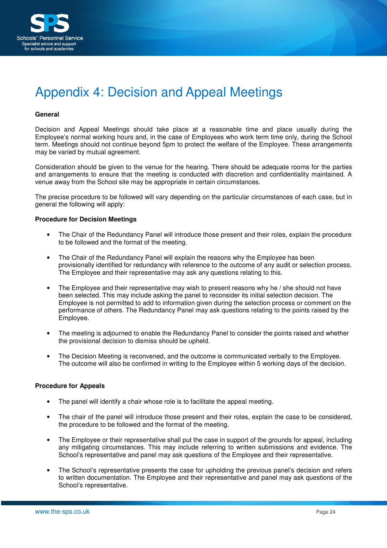

# Appendix 4: Decision and Appeal Meetings

#### **General**

Decision and Appeal Meetings should take place at a reasonable time and place usually during the Employee's normal working hours and, in the case of Employees who work term time only, during the School term. Meetings should not continue beyond 5pm to protect the welfare of the Employee. These arrangements may be varied by mutual agreement.

Consideration should be given to the venue for the hearing. There should be adequate rooms for the parties and arrangements to ensure that the meeting is conducted with discretion and confidentiality maintained. A venue away from the School site may be appropriate in certain circumstances.

The precise procedure to be followed will vary depending on the particular circumstances of each case, but in general the following will apply:

#### **Procedure for Decision Meetings**

- The Chair of the Redundancy Panel will introduce those present and their roles, explain the procedure to be followed and the format of the meeting.
- The Chair of the Redundancy Panel will explain the reasons why the Employee has been provisionally identified for redundancy with reference to the outcome of any audit or selection process. The Employee and their representative may ask any questions relating to this.
- The Employee and their representative may wish to present reasons why he / she should not have been selected. This may include asking the panel to reconsider its initial selection decision. The Employee is not permitted to add to information given during the selection process or comment on the performance of others. The Redundancy Panel may ask questions relating to the points raised by the Employee.
- The meeting is adjourned to enable the Redundancy Panel to consider the points raised and whether the provisional decision to dismiss should be upheld.
- The Decision Meeting is reconvened, and the outcome is communicated verbally to the Employee. The outcome will also be confirmed in writing to the Employee within 5 working days of the decision.

#### **Procedure for Appeals**

- The panel will identify a chair whose role is to facilitate the appeal meeting.
- The chair of the panel will introduce those present and their roles, explain the case to be considered, the procedure to be followed and the format of the meeting.
- The Employee or their representative shall put the case in support of the grounds for appeal, including any mitigating circumstances. This may include referring to written submissions and evidence. The School's representative and panel may ask questions of the Employee and their representative.
- The School's representative presents the case for upholding the previous panel's decision and refers to written documentation. The Employee and their representative and panel may ask questions of the School's representative.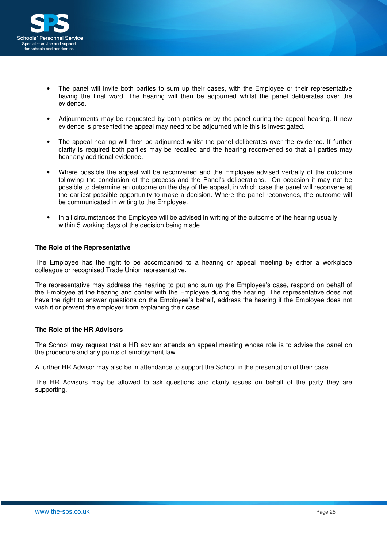

- The panel will invite both parties to sum up their cases, with the Employee or their representative having the final word. The hearing will then be adjourned whilst the panel deliberates over the evidence.
- Adjournments may be requested by both parties or by the panel during the appeal hearing. If new evidence is presented the appeal may need to be adjourned while this is investigated.
- The appeal hearing will then be adjourned whilst the panel deliberates over the evidence. If further clarity is required both parties may be recalled and the hearing reconvened so that all parties may hear any additional evidence.
- Where possible the appeal will be reconvened and the Employee advised verbally of the outcome following the conclusion of the process and the Panel's deliberations. On occasion it may not be possible to determine an outcome on the day of the appeal, in which case the panel will reconvene at the earliest possible opportunity to make a decision. Where the panel reconvenes, the outcome will be communicated in writing to the Employee.
- In all circumstances the Employee will be advised in writing of the outcome of the hearing usually within 5 working days of the decision being made.

#### **The Role of the Representative**

The Employee has the right to be accompanied to a hearing or appeal meeting by either a workplace colleague or recognised Trade Union representative.

The representative may address the hearing to put and sum up the Employee's case, respond on behalf of the Employee at the hearing and confer with the Employee during the hearing. The representative does not have the right to answer questions on the Employee's behalf, address the hearing if the Employee does not wish it or prevent the employer from explaining their case.

#### **The Role of the HR Advisors**

The School may request that a HR advisor attends an appeal meeting whose role is to advise the panel on the procedure and any points of employment law.

A further HR Advisor may also be in attendance to support the School in the presentation of their case.

The HR Advisors may be allowed to ask questions and clarify issues on behalf of the party they are supporting.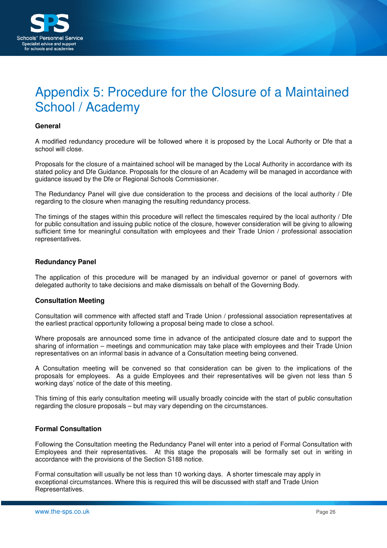

# Appendix 5: Procedure for the Closure of a Maintained School / Academy

#### **General**

A modified redundancy procedure will be followed where it is proposed by the Local Authority or Dfe that a school will close.

Proposals for the closure of a maintained school will be managed by the Local Authority in accordance with its stated policy and Dfe Guidance. Proposals for the closure of an Academy will be managed in accordance with guidance issued by the Dfe or Regional Schools Commissioner.

The Redundancy Panel will give due consideration to the process and decisions of the local authority / Dfe regarding to the closure when managing the resulting redundancy process.

The timings of the stages within this procedure will reflect the timescales required by the local authority / Dfe for public consultation and issuing public notice of the closure, however consideration will be giving to allowing sufficient time for meaningful consultation with employees and their Trade Union / professional association representatives.

#### **Redundancy Panel**

The application of this procedure will be managed by an individual governor or panel of governors with delegated authority to take decisions and make dismissals on behalf of the Governing Body.

#### **Consultation Meeting**

Consultation will commence with affected staff and Trade Union / professional association representatives at the earliest practical opportunity following a proposal being made to close a school.

Where proposals are announced some time in advance of the anticipated closure date and to support the sharing of information – meetings and communication may take place with employees and their Trade Union representatives on an informal basis in advance of a Consultation meeting being convened.

A Consultation meeting will be convened so that consideration can be given to the implications of the proposals for employees. As a guide Employees and their representatives will be given not less than 5 working days' notice of the date of this meeting.

This timing of this early consultation meeting will usually broadly coincide with the start of public consultation regarding the closure proposals – but may vary depending on the circumstances.

#### **Formal Consultation**

Following the Consultation meeting the Redundancy Panel will enter into a period of Formal Consultation with Employees and their representatives. At this stage the proposals will be formally set out in writing in accordance with the provisions of the Section S188 notice.

Formal consultation will usually be not less than 10 working days. A shorter timescale may apply in exceptional circumstances. Where this is required this will be discussed with staff and Trade Union Representatives.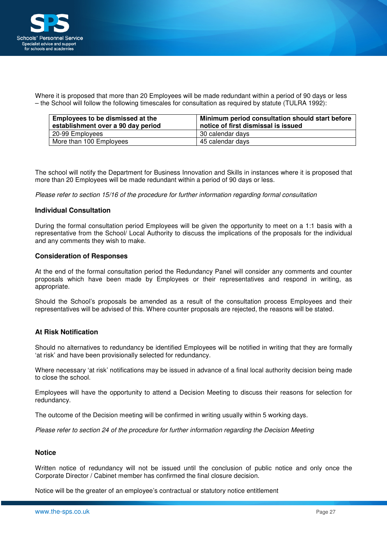

Where it is proposed that more than 20 Employees will be made redundant within a period of 90 days or less – the School will follow the following timescales for consultation as required by statute (TULRA 1992):

| Employees to be dismissed at the<br>establishment over a 90 day period | Minimum period consultation should start before<br>notice of first dismissal is issued |  |  |  |  |  |  |  |
|------------------------------------------------------------------------|----------------------------------------------------------------------------------------|--|--|--|--|--|--|--|
| 20-99 Employees                                                        | 30 calendar days                                                                       |  |  |  |  |  |  |  |
| More than 100 Employees                                                | 45 calendar days                                                                       |  |  |  |  |  |  |  |

The school will notify the Department for Business Innovation and Skills in instances where it is proposed that more than 20 Employees will be made redundant within a period of 90 days or less.

Please refer to section 15/16 of the procedure for further information regarding formal consultation

#### **Individual Consultation**

During the formal consultation period Employees will be given the opportunity to meet on a 1:1 basis with a representative from the School/ Local Authority to discuss the implications of the proposals for the individual and any comments they wish to make.

#### **Consideration of Responses**

At the end of the formal consultation period the Redundancy Panel will consider any comments and counter proposals which have been made by Employees or their representatives and respond in writing, as appropriate.

Should the School's proposals be amended as a result of the consultation process Employees and their representatives will be advised of this. Where counter proposals are rejected, the reasons will be stated.

#### **At Risk Notification**

Should no alternatives to redundancy be identified Employees will be notified in writing that they are formally 'at risk' and have been provisionally selected for redundancy.

Where necessary 'at risk' notifications may be issued in advance of a final local authority decision being made to close the school.

Employees will have the opportunity to attend a Decision Meeting to discuss their reasons for selection for redundancy.

The outcome of the Decision meeting will be confirmed in writing usually within 5 working days.

Please refer to section 24 of the procedure for further information regarding the Decision Meeting

#### **Notice**

Written notice of redundancy will not be issued until the conclusion of public notice and only once the Corporate Director / Cabinet member has confirmed the final closure decision.

Notice will be the greater of an employee's contractual or statutory notice entitlement